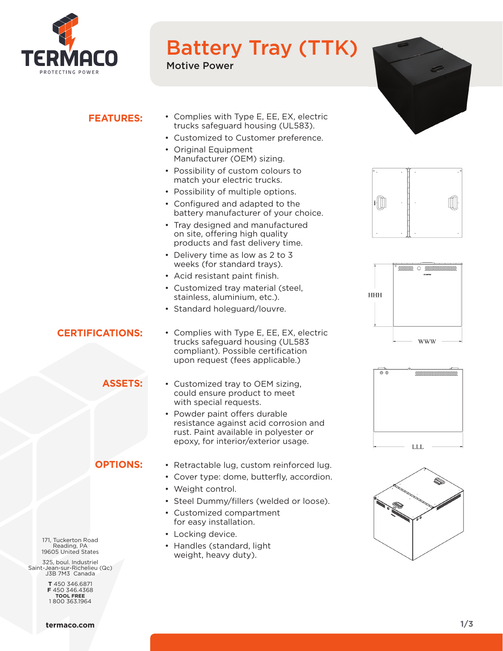

# Battery Tray (TTK)

Motive Power



# **FEATURES:**

- Complies with Type E, EE, EX, electric trucks safeguard housing (UL583).
- Customized to Customer preference.
- Original Equipment Manufacturer (OEM) sizing.
- Possibility of custom colours to match your electric trucks.
- Possibility of multiple options.
- Configured and adapted to the battery manufacturer of your choice.
- Tray designed and manufactured on site, offering high quality products and fast delivery time.
- Delivery time as low as 2 to 3 weeks (for standard trays).
- Acid resistant paint finish.
- Customized tray material (steel, stainless, aluminium, etc.).
- Standard holeguard/louvre.

# **CERTIFICATIONS:**

# **ASSETS:**

compliant). Possible certification upon request (fees applicable.) • Customized tray to OEM sizing,

• Complies with Type E, EE, EX, electric trucks safeguard housing (UL583

- could ensure product to meet with special requests.
- Powder paint offers durable resistance against acid corrosion and rust. Paint available in polyester or epoxy, for interior/exterior usage.

## **OPTIONS:**

- Retractable lug, custom reinforced lug.
- Cover type: dome, butterfly, accordion.
- Weight control.
- Steel Dummy/fillers (welded or loose).
- Customized compartment for easy installation.
- Locking device.
- Handles (standard, light weight, heavy duty).









171, Tuckerton Road Reading, PA 19605 United States

325, boul. Industriel Saint-Jean-sur-Richelieu (Qc) J3B 7M3 Canada

> **T** 450 346.6871 **F** 450 346.4368 **TOOL FREE** 1 800 363.1964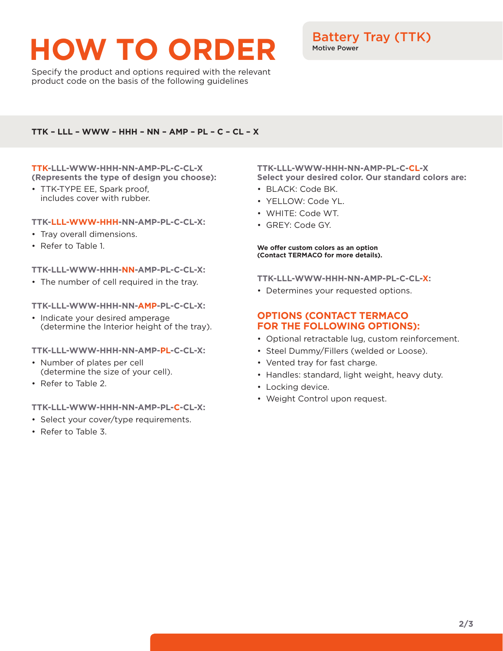# **HOW TO ORDER**

Specify the product and options required with the relevant product code on the basis of the following guidelines

# Battery Tray (TTK) Motive Power

#### **TTK – LLL – WWW – HHH – NN – AMP – PL – C – CL – X**

#### **TTK-LLL-WWW-HHH-NN-AMP-PL-C-CL-X (Represents the type of design you choose):**

• TTK-TYPE EE, Spark proof, includes cover with rubber.

#### **TTK-LLL-WWW-HHH-NN-AMP-PL-C-CL-X:**

- Tray overall dimensions.
- Refer to Table 1.

#### **TTK-LLL-WWW-HHH-NN-AMP-PL-C-CL-X:**

• The number of cell required in the tray.

#### **TTK-LLL-WWW-HHH-NN-AMP-PL-C-CL-X:**

• Indicate your desired amperage (determine the Interior height of the tray).

#### **TTK-LLL-WWW-HHH-NN-AMP-PL-C-CL-X:**

- Number of plates per cell (determine the size of your cell).
- Refer to Table 2.

#### **TTK-LLL-WWW-HHH-NN-AMP-PL-C-CL-X:**

- Select your cover/type requirements.
- Refer to Table 3.

#### **TTK-LLL-WWW-HHH-NN-AMP-PL-C-CL-X Select your desired color. Our standard colors are:**

- BLACK: Code BK.
- YELLOW: Code YL.
- WHITE: Code WT.
- GREY: Code GY.

#### **We offer custom colors as an option (Contact TERMACO for more details).**

#### **TTK-LLL-WWW-HHH-NN-AMP-PL-C-CL-X:**

• Determines your requested options.

## **OPTIONS (CONTACT TERMACO FOR THE FOLLOWING OPTIONS):**

- Optional retractable lug, custom reinforcement.
- Steel Dummy/Fillers (welded or Loose).
- Vented tray for fast charge.
- Handles: standard, light weight, heavy duty.
- Locking device.
- Weight Control upon request.